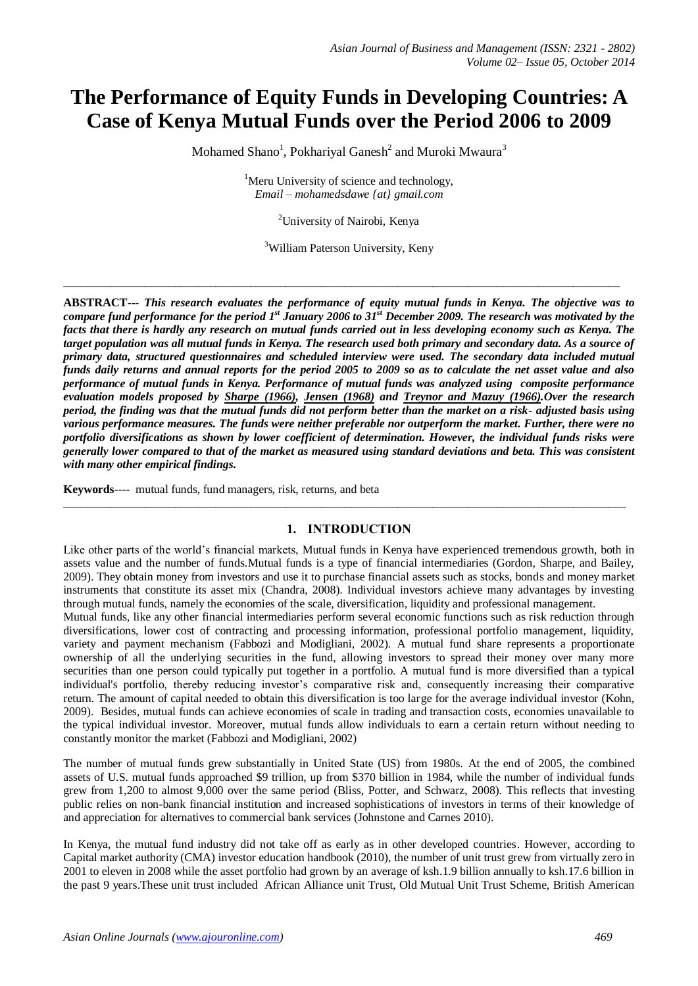# **The Performance of Equity Funds in Developing Countries: A Case of Kenya Mutual Funds over the Period 2006 to 2009**

Mohamed Shano<sup>1</sup>, Pokhariyal Ganesh<sup>2</sup> and Muroki Mwaura<sup>3</sup>

 $<sup>1</sup>$ Meru University of science and technology,</sup> *Email – mohamedsdawe {at} gmail.com*

<sup>2</sup>University of Nairobi, Kenya

<sup>3</sup>William Paterson University, Keny

 $\_$  ,  $\_$  ,  $\_$  ,  $\_$  ,  $\_$  ,  $\_$  ,  $\_$  ,  $\_$  ,  $\_$  ,  $\_$  ,  $\_$  ,  $\_$  ,  $\_$  ,  $\_$  ,  $\_$  ,  $\_$  ,  $\_$  ,  $\_$  ,  $\_$  ,  $\_$  ,  $\_$  ,  $\_$  ,  $\_$  ,  $\_$  ,  $\_$  ,  $\_$  ,  $\_$  ,  $\_$  ,  $\_$  ,  $\_$  ,  $\_$  ,  $\_$  ,  $\_$  ,  $\_$  ,  $\_$  ,  $\_$  ,  $\_$  ,

**ABSTRACT---** *This research evaluates the performance of equity mutual funds in Kenya. The objective was to compare fund performance for the period 1st January 2006 to 31st December 2009. The research was motivated by the facts that there is hardly any research on mutual funds carried out in less developing economy such as Kenya. The target population was all mutual funds in Kenya. The research used both primary and secondary data. As a source of primary data, structured questionnaires and scheduled interview were used. The secondary data included mutual funds daily returns and annual reports for the period 2005 to 2009 so as to calculate the net asset value and also performance of mutual funds in Kenya. Performance of mutual funds was analyzed using composite performance evaluation models proposed by [Sharpe \(1966\),](file:///C:/Users/mugash%20jr/AppData/Roaming/Documents%20and%20Settings/kimathi/Desktop/polish%20mf%20performance.htm%23b14) [Jensen \(1968\)](file:///C:/Users/mugash%20jr/AppData/Roaming/Documents%20and%20Settings/kimathi/Desktop/polish%20mf%20performance.htm%23b18) and [Treynor and Mazuy \(1966\).](file:///C:/Users/mugash%20jr/AppData/Roaming/Documents%20and%20Settings/kimathi/Desktop/polish%20mf%20performance.htm%23b17)Over the research period, the finding was that the mutual funds did not perform better than the market on a risk- adjusted basis using various performance measures. The funds were neither preferable nor outperform the market. Further, there were no portfolio diversifications as shown by lower coefficient of determination. However, the individual funds risks were generally lower compared to that of the market as measured using standard deviations and beta. This was consistent with many other empirical findings.*

**Keywords**---- mutual funds, fund managers, risk, returns, and beta

#### **1. INTRODUCTION**

 $\_$  ,  $\_$  ,  $\_$  ,  $\_$  ,  $\_$  ,  $\_$  ,  $\_$  ,  $\_$  ,  $\_$  ,  $\_$  ,  $\_$  ,  $\_$  ,  $\_$  ,  $\_$  ,  $\_$  ,  $\_$  ,  $\_$  ,  $\_$  ,  $\_$  ,  $\_$  ,  $\_$  ,  $\_$  ,  $\_$  ,  $\_$  ,  $\_$  ,  $\_$  ,  $\_$  ,  $\_$  ,  $\_$  ,  $\_$  ,  $\_$  ,  $\_$  ,  $\_$  ,  $\_$  ,  $\_$  ,  $\_$  ,  $\_$  ,

Like other parts of the world's financial markets, Mutual funds in Kenya have experienced tremendous growth, both in assets value and the number of funds.Mutual funds is a type of financial intermediaries (Gordon, Sharpe, and Bailey, 2009). They obtain money from investors and use it to purchase financial assets such as stocks, bonds and money market instruments that constitute its asset mix (Chandra, 2008). Individual investors achieve many advantages by investing through mutual funds, namely the economies of the scale, diversification, liquidity and professional management.

Mutual funds, like any other financial intermediaries perform several economic functions such as risk reduction through diversifications, lower cost of contracting and processing information, professional portfolio management, liquidity, variety and payment mechanism (Fabbozi and Modigliani, 2002). A mutual fund share represents a proportionate ownership of all the underlying securities in the fund, allowing investors to spread their money over many more securities than one person could typically put together in a portfolio. A mutual fund is more diversified than a typical individual's portfolio, thereby reducing investor's comparative risk and, consequently increasing their comparative return. The amount of capital needed to obtain this diversification is too large for the average individual investor (Kohn, 2009). Besides, mutual funds can achieve economies of scale in trading and transaction costs, economies unavailable to the typical individual investor. Moreover, mutual funds allow individuals to earn a certain return without needing to constantly monitor the market (Fabbozi and Modigliani, 2002)

The number of mutual funds grew substantially in United State (US) from 1980s. At the end of 2005, the combined assets of U.S. mutual funds approached \$9 trillion, up from \$370 billion in 1984, while the number of individual funds grew from 1,200 to almost 9,000 over the same period (Bliss, Potter, and Schwarz, 2008). This reflects that investing public relies on non-bank financial institution and increased sophistications of investors in terms of their knowledge of and appreciation for alternatives to commercial bank services (Johnstone and Carnes 2010).

In Kenya, the mutual fund industry did not take off as early as in other developed countries. However, according to Capital market authority (CMA) investor education handbook (2010), the number of unit trust grew from virtually zero in 2001 to eleven in 2008 while the asset portfolio had grown by an average of ksh.1.9 billion annually to ksh.17.6 billion in the past 9 years.These unit trust included African Alliance unit Trust, Old Mutual Unit Trust Scheme, British American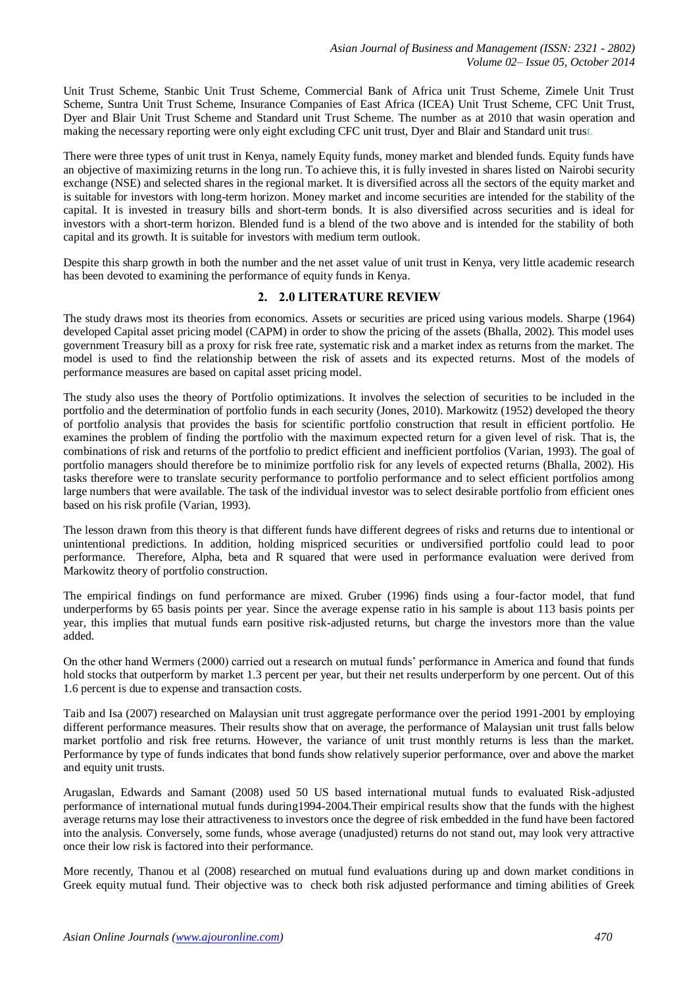Unit Trust Scheme, Stanbic Unit Trust Scheme, Commercial Bank of Africa unit Trust Scheme, Zimele Unit Trust Scheme, Suntra Unit Trust Scheme, Insurance Companies of East Africa (ICEA) Unit Trust Scheme, CFC Unit Trust, Dyer and Blair Unit Trust Scheme and Standard unit Trust Scheme. The number as at 2010 that wasin operation and making the necessary reporting were only eight excluding CFC unit trust, Dyer and Blair and Standard unit trust.

There were three types of unit trust in Kenya, namely Equity funds, money market and blended funds. Equity funds have an objective of maximizing returns in the long run. To achieve this, it is fully invested in shares listed on Nairobi security exchange (NSE) and selected shares in the regional market. It is diversified across all the sectors of the equity market and is suitable for investors with long-term horizon. Money market and income securities are intended for the stability of the capital. It is invested in treasury bills and short-term bonds. It is also diversified across securities and is ideal for investors with a short-term horizon. Blended fund is a blend of the two above and is intended for the stability of both capital and its growth. It is suitable for investors with medium term outlook.

Despite this sharp growth in both the number and the net asset value of unit trust in Kenya, very little academic research has been devoted to examining the performance of equity funds in Kenya.

## **2. 2.0 LITERATURE REVIEW**

The study draws most its theories from economics. Assets or securities are priced using various models. Sharpe (1964) developed Capital asset pricing model (CAPM) in order to show the pricing of the assets (Bhalla, 2002). This model uses government Treasury bill as a proxy for risk free rate, systematic risk and a market index as returns from the market. The model is used to find the relationship between the risk of assets and its expected returns. Most of the models of performance measures are based on capital asset pricing model.

The study also uses the theory of Portfolio optimizations. It involves the selection of securities to be included in the portfolio and the determination of portfolio funds in each security (Jones, 2010). Markowitz (1952) developed the theory of portfolio analysis that provides the basis for scientific portfolio construction that result in efficient portfolio. He examines the problem of finding the portfolio with the maximum expected return for a given level of risk. That is, the combinations of risk and returns of the portfolio to predict efficient and inefficient portfolios (Varian, 1993). The goal of portfolio managers should therefore be to minimize portfolio risk for any levels of expected returns (Bhalla, 2002). His tasks therefore were to translate security performance to portfolio performance and to select efficient portfolios among large numbers that were available. The task of the individual investor was to select desirable portfolio from efficient ones based on his risk profile (Varian, 1993).

The lesson drawn from this theory is that different funds have different degrees of risks and returns due to intentional or unintentional predictions. In addition, holding mispriced securities or undiversified portfolio could lead to poor performance. Therefore, Alpha, beta and R squared that were used in performance evaluation were derived from Markowitz theory of portfolio construction.

The empirical findings on fund performance are mixed. Gruber (1996) finds using a four-factor model, that fund underperforms by 65 basis points per year. Since the average expense ratio in his sample is about 113 basis points per year, this implies that mutual funds earn positive risk-adjusted returns, but charge the investors more than the value added.

On the other hand Wermers (2000) carried out a research on mutual funds' performance in America and found that funds hold stocks that outperform by market 1.3 percent per year, but their net results underperform by one percent. Out of this 1.6 percent is due to expense and transaction costs.

Taib and Isa (2007) researched on Malaysian unit trust aggregate performance over the period 1991-2001 by employing different performance measures. Their results show that on average, the performance of Malaysian unit trust falls below market portfolio and risk free returns. However, the variance of unit trust monthly returns is less than the market. Performance by type of funds indicates that bond funds show relatively superior performance, over and above the market and equity unit trusts.

Arugaslan, Edwards and Samant (2008) used 50 US based international mutual funds to evaluated Risk-adjusted performance of international mutual funds during1994-2004.Their empirical results show that the funds with the highest average returns may lose their attractiveness to investors once the degree of risk embedded in the fund have been factored into the analysis. Conversely, some funds, whose average (unadjusted) returns do not stand out, may look very attractive once their low risk is factored into their performance.

More recently, Thanou et al (2008) researched on mutual fund evaluations during up and down market conditions in Greek equity mutual fund. Their objective was to check both risk adjusted performance and timing abilities of Greek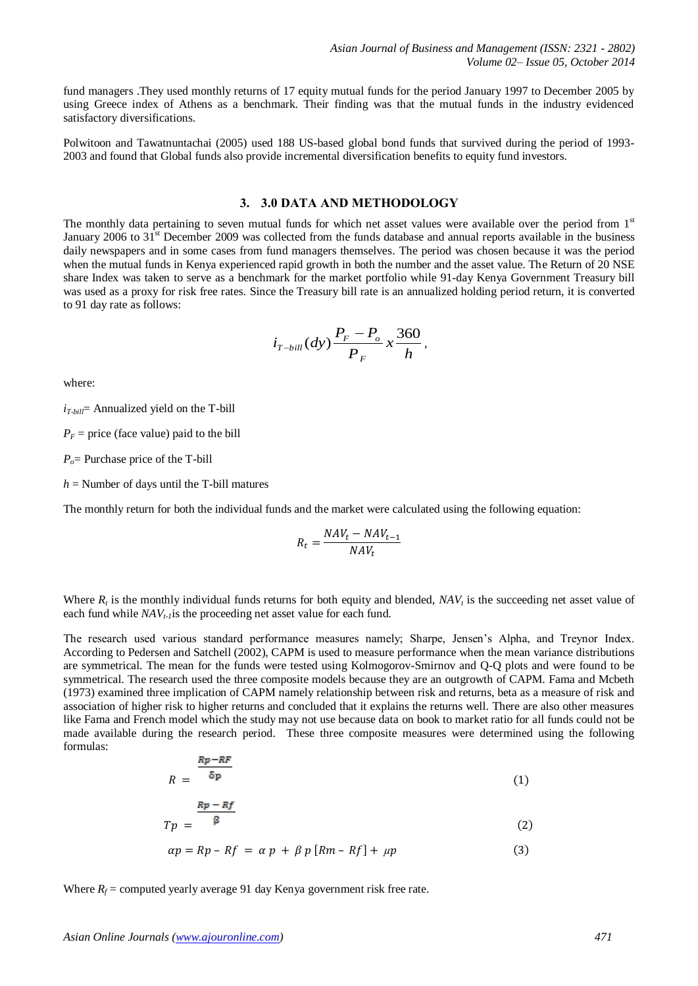fund managers .They used monthly returns of 17 equity mutual funds for the period January 1997 to December 2005 by using Greece index of Athens as a benchmark. Their finding was that the mutual funds in the industry evidenced satisfactory diversifications.

Polwitoon and Tawatnuntachai (2005) used 188 US-based global bond funds that survived during the period of 1993- 2003 and found that Global funds also provide incremental diversification benefits to equity fund investors.

## **3. 3.0 DATA AND METHODOLOGY**

The monthly data pertaining to seven mutual funds for which net asset values were available over the period from 1st January 2006 to 31<sup>st</sup> December 2009 was collected from the funds database and annual reports available in the business daily newspapers and in some cases from fund managers themselves. The period was chosen because it was the period when the mutual funds in Kenya experienced rapid growth in both the number and the asset value. The Return of 20 NSE share Index was taken to serve as a benchmark for the market portfolio while 91-day Kenya Government Treasury bill was used as a proxy for risk free rates. Since the Treasury bill rate is an annualized holding period return, it is converted to 91 day rate as follows:

$$
i_{T-bill}(dy)\frac{P_F-P_o}{P_F}x\frac{360}{h},
$$

where:

 $i_{T \text{-} bill}$  Annualized yield on the T-bill

 $P_F$  = price (face value) paid to the bill

*Po*= Purchase price of the T-bill

 $h =$  Number of days until the T-bill matures

The monthly return for both the individual funds and the market were calculated using the following equation:

$$
R_t = \frac{NAV_t - NAV_{t-1}}{NAV_t}
$$

Where  $R_t$  is the monthly individual funds returns for both equity and blended,  $NAV_t$  is the succeeding net asset value of each fund while *NAVt-1*is the proceeding net asset value for each fund.

The research used various standard performance measures namely; Sharpe, Jensen's Alpha, and Treynor Index. According to Pedersen and Satchell (2002), CAPM is used to measure performance when the mean variance distributions are symmetrical. The mean for the funds were tested using Kolmogorov-Smirnov and Q-Q plots and were found to be symmetrical. The research used the three composite models because they are an outgrowth of CAPM. Fama and Mcbeth (1973) examined three implication of CAPM namely relationship between risk and returns, beta as a measure of risk and association of higher risk to higher returns and concluded that it explains the returns well. There are also other measures like Fama and French model which the study may not use because data on book to market ratio for all funds could not be made available during the research period. These three composite measures were determined using the following formulas:

$$
R = \frac{Rp - RF}{\delta p} \tag{1}
$$

$$
Tp = \frac{Rp - Rf}{\beta} \tag{2}
$$

$$
\alpha p = Rp - Rf = \alpha p + \beta p [Rm - Rf] + \mu p \tag{3}
$$

Where  $R_f$  = computed yearly average 91 day Kenya government risk free rate.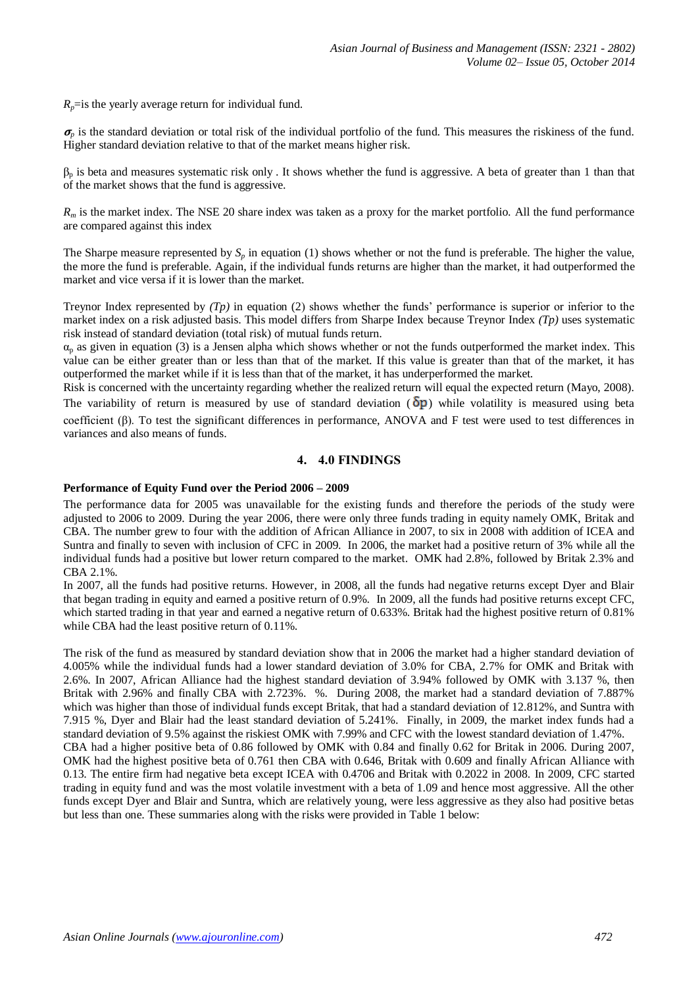$R_p$ =is the yearly average return for individual fund.

 $\sigma_{\rm n}$  is the standard deviation or total risk of the individual portfolio of the fund. This measures the riskiness of the fund. Higher standard deviation relative to that of the market means higher risk.

 $\beta_p$  is beta and measures systematic risk only. It shows whether the fund is aggressive. A beta of greater than 1 than that of the market shows that the fund is aggressive.

*R<sup>m</sup>* is the market index. The NSE 20 share index was taken as a proxy for the market portfolio. All the fund performance are compared against this index

The Sharpe measure represented by  $S_p$  in equation (1) shows whether or not the fund is preferable. The higher the value, the more the fund is preferable. Again, if the individual funds returns are higher than the market, it had outperformed the market and vice versa if it is lower than the market.

Treynor Index represented by *(Tp)* in equation (2) shows whether the funds' performance is superior or inferior to the market index on a risk adjusted basis. This model differs from Sharpe Index because Treynor Index *(Tp)* uses systematic risk instead of standard deviation (total risk) of mutual funds return.

 $\alpha_p$  as given in equation (3) is a Jensen alpha which shows whether or not the funds outperformed the market index. This value can be either greater than or less than that of the market. If this value is greater than that of the market, it has outperformed the market while if it is less than that of the market, it has underperformed the market.

Risk is concerned with the uncertainty regarding whether the realized return will equal the expected return (Mayo, 2008). The variability of return is measured by use of standard deviation  $(\delta p)$  while volatility is measured using beta coefficient (β). To test the significant differences in performance, ANOVA and F test were used to test differences in variances and also means of funds.

#### **4. 4.0 FINDINGS**

### **Performance of Equity Fund over the Period 2006 – 2009**

The performance data for 2005 was unavailable for the existing funds and therefore the periods of the study were adjusted to 2006 to 2009. During the year 2006, there were only three funds trading in equity namely OMK, Britak and CBA. The number grew to four with the addition of African Alliance in 2007, to six in 2008 with addition of ICEA and Suntra and finally to seven with inclusion of CFC in 2009. In 2006, the market had a positive return of 3% while all the individual funds had a positive but lower return compared to the market. OMK had 2.8%, followed by Britak 2.3% and CBA 2.1%.

In 2007, all the funds had positive returns. However, in 2008, all the funds had negative returns except Dyer and Blair that began trading in equity and earned a positive return of 0.9%. In 2009, all the funds had positive returns except CFC, which started trading in that year and earned a negative return of 0.633%. Britak had the highest positive return of 0.81% while CBA had the least positive return of 0.11%.

The risk of the fund as measured by standard deviation show that in 2006 the market had a higher standard deviation of 4.005% while the individual funds had a lower standard deviation of 3.0% for CBA, 2.7% for OMK and Britak with 2.6%. In 2007, African Alliance had the highest standard deviation of 3.94% followed by OMK with 3.137 %, then Britak with 2.96% and finally CBA with 2.723%. %. During 2008, the market had a standard deviation of 7.887% which was higher than those of individual funds except Britak, that had a standard deviation of 12.812%, and Suntra with 7.915 %, Dyer and Blair had the least standard deviation of 5.241%. Finally, in 2009, the market index funds had a standard deviation of 9.5% against the riskiest OMK with 7.99% and CFC with the lowest standard deviation of 1.47%. CBA had a higher positive beta of 0.86 followed by OMK with 0.84 and finally 0.62 for Britak in 2006. During 2007, OMK had the highest positive beta of 0.761 then CBA with 0.646, Britak with 0.609 and finally African Alliance with 0.13. The entire firm had negative beta except ICEA with 0.4706 and Britak with 0.2022 in 2008. In 2009, CFC started trading in equity fund and was the most volatile investment with a beta of 1.09 and hence most aggressive. All the other funds except Dyer and Blair and Suntra, which are relatively young, were less aggressive as they also had positive betas but less than one. These summaries along with the risks were provided in Table 1 below: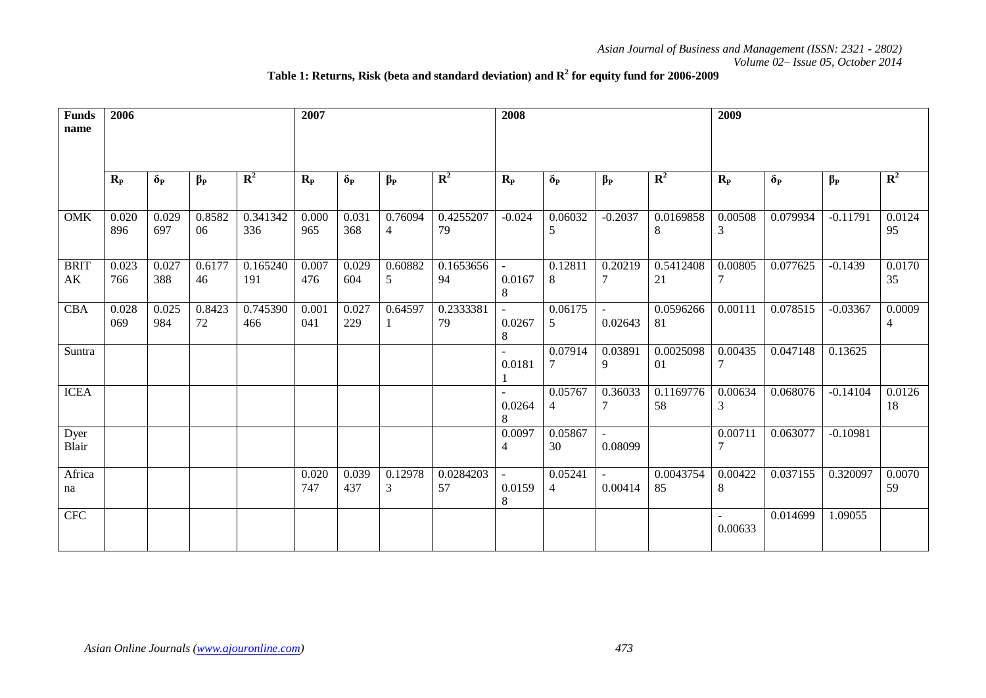# **Table 1: Returns, Risk (beta and standard deviation) and R<sup>2</sup> for equity fund for 2006-2009**

| <b>Funds</b><br>name                  | 2006         |              |              |                 | 2007         |              |                           |                 | 2008        |               |                   |                 | 2009         |              |            |                          |
|---------------------------------------|--------------|--------------|--------------|-----------------|--------------|--------------|---------------------------|-----------------|-------------|---------------|-------------------|-----------------|--------------|--------------|------------|--------------------------|
|                                       | $R_{P}$      | $\delta_{P}$ | $\beta_P$    | $\mathbb{R}^2$  | $R_{P}$      | $\delta_{P}$ | $\beta_P$                 | ${\bf R}^2$     | $R_{P}$     | $\delta_{P}$  | $\beta_P$         | $\mathbf{R}^2$  | $R_{P}$      | $\delta_{P}$ | $\beta_P$  | $\mathbf{R}^2$           |
| <b>OMK</b>                            | 0.020<br>896 | 0.029<br>697 | 0.8582<br>06 | 0.341342<br>336 | 0.000<br>965 | 0.031<br>368 | 0.76094<br>$\overline{4}$ | 0.4255207<br>79 | $-0.024$    | 0.06032<br>5  | $-0.2037$         | 0.0169858<br>8  | 0.00508<br>3 | 0.079934     | $-0.11791$ | 0.0124<br>95             |
| <b>BRIT</b><br>$\mathbf{A}\mathbf{K}$ | 0.023<br>766 | 0.027<br>388 | 0.6177<br>46 | 0.165240<br>191 | 0.007<br>476 | 0.029<br>604 | 0.60882<br>5              | 0.1653656<br>94 | 0.0167<br>8 | 0.12811<br>8  | 0.20219           | 0.5412408<br>21 | 0.00805      | 0.077625     | $-0.1439$  | 0.0170<br>35             |
| <b>CBA</b>                            | 0.028<br>069 | 0.025<br>984 | 0.8423<br>72 | 0.745390<br>466 | 0.001<br>041 | 0.027<br>229 | 0.64597                   | 0.2333381<br>79 | 0.0267<br>8 | 0.06175<br>5  | $\sim$<br>0.02643 | 0.0596266<br>81 | 0.00111      | 0.078515     | $-0.03367$ | 0.0009<br>$\overline{4}$ |
| Suntra                                |              |              |              |                 |              |              |                           |                 | 0.0181      | 0.07914       | 0.03891<br>9      | 0.0025098<br>01 | 0.00435      | 0.047148     | 0.13625    |                          |
| <b>ICEA</b>                           |              |              |              |                 |              |              |                           |                 | 0.0264<br>8 | 0.05767<br>4  | 0.36033           | 0.1169776<br>58 | 0.00634<br>3 | 0.068076     | $-0.14104$ | 0.0126<br>18             |
| Dyer<br>Blair                         |              |              |              |                 |              |              |                           |                 | 0.0097<br>4 | 0.05867<br>30 | 0.08099           |                 | 0.00711      | 0.063077     | $-0.10981$ |                          |
| Africa<br>na                          |              |              |              |                 | 0.020<br>747 | 0.039<br>437 | 0.12978<br>3              | 0.0284203<br>57 | 0.0159<br>8 | 0.05241<br>4  | ÷.<br>0.00414     | 0.0043754<br>85 | 0.00422<br>8 | 0.037155     | 0.320097   | 0.0070<br>59             |
| <b>CFC</b>                            |              |              |              |                 |              |              |                           |                 |             |               |                   |                 | 0.00633      | 0.014699     | 1.09055    |                          |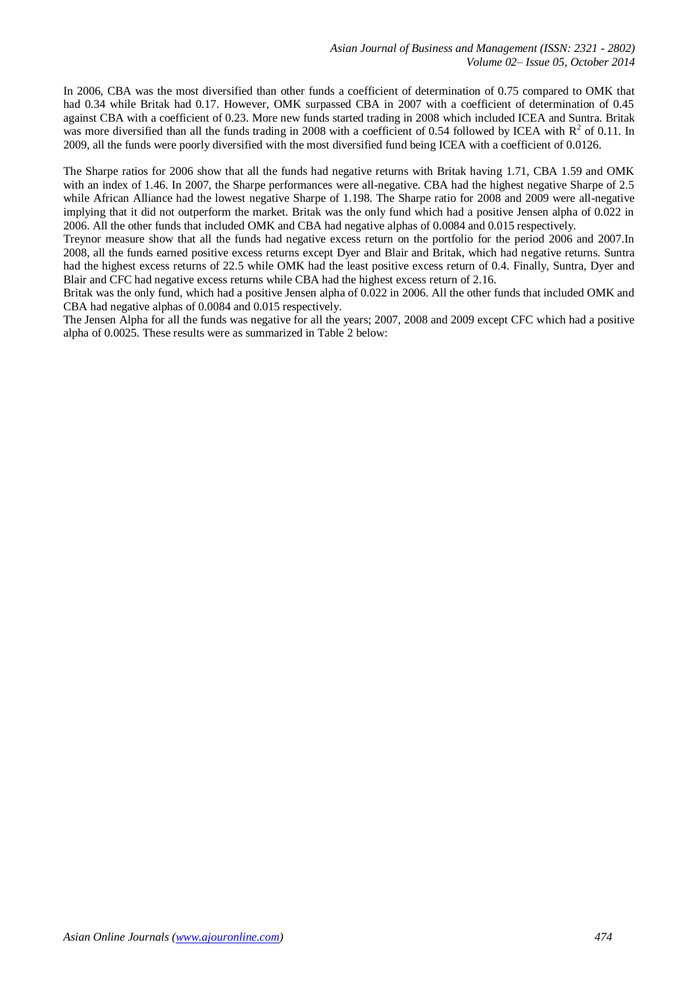In 2006, CBA was the most diversified than other funds a coefficient of determination of 0.75 compared to OMK that had 0.34 while Britak had 0.17. However, OMK surpassed CBA in 2007 with a coefficient of determination of 0.45 against CBA with a coefficient of 0.23. More new funds started trading in 2008 which included ICEA and Suntra. Britak was more diversified than all the funds trading in 2008 with a coefficient of 0.54 followed by ICEA with  $R^2$  of 0.11. In 2009, all the funds were poorly diversified with the most diversified fund being ICEA with a coefficient of 0.0126.

The Sharpe ratios for 2006 show that all the funds had negative returns with Britak having 1.71, CBA 1.59 and OMK with an index of 1.46. In 2007, the Sharpe performances were all-negative. CBA had the highest negative Sharpe of 2.5 while African Alliance had the lowest negative Sharpe of 1.198. The Sharpe ratio for 2008 and 2009 were all-negative implying that it did not outperform the market. Britak was the only fund which had a positive Jensen alpha of 0.022 in 2006. All the other funds that included OMK and CBA had negative alphas of 0.0084 and 0.015 respectively.

Treynor measure show that all the funds had negative excess return on the portfolio for the period 2006 and 2007.In 2008, all the funds earned positive excess returns except Dyer and Blair and Britak, which had negative returns. Suntra had the highest excess returns of 22.5 while OMK had the least positive excess return of 0.4. Finally, Suntra, Dyer and Blair and CFC had negative excess returns while CBA had the highest excess return of 2.16.

Britak was the only fund, which had a positive Jensen alpha of 0.022 in 2006. All the other funds that included OMK and CBA had negative alphas of 0.0084 and 0.015 respectively.

The Jensen Alpha for all the funds was negative for all the years; 2007, 2008 and 2009 except CFC which had a positive alpha of 0.0025. These results were as summarized in Table 2 below: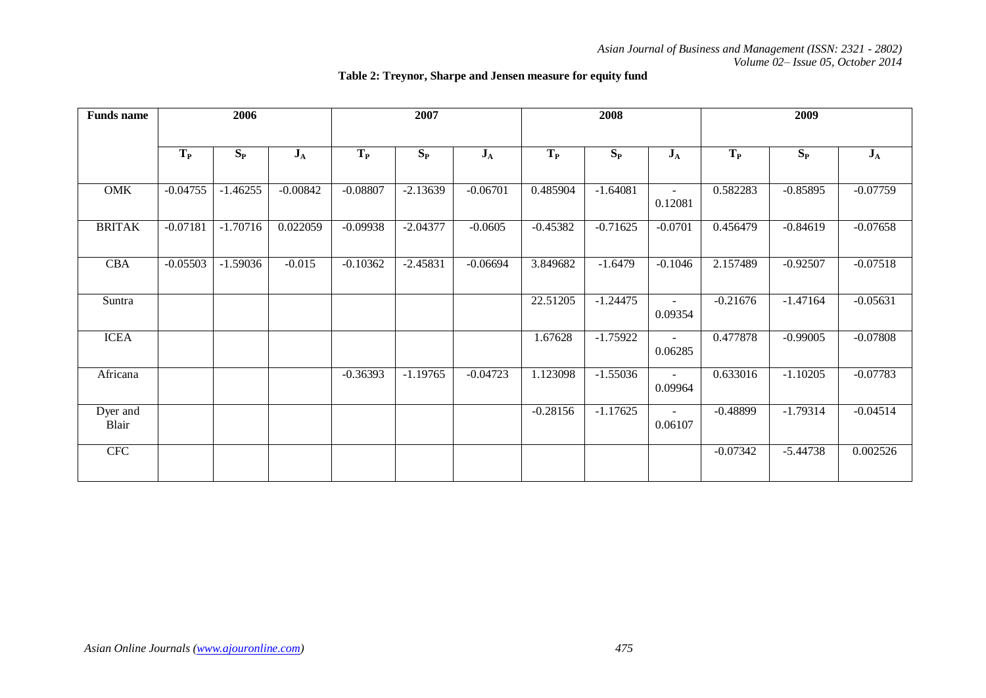| <b>Funds</b> name | 2006       |            |            | 2007       |            |            |            | 2008       |                           | 2009       |            |            |  |
|-------------------|------------|------------|------------|------------|------------|------------|------------|------------|---------------------------|------------|------------|------------|--|
|                   | $T_{P}$    | $S_{P}$    | $J_A$      | $T_{P}$    | $S_{P}$    | $J_A$      | $T_{P}$    | $S_{P}$    | $J_A$                     | $T_{P}$    | $S_{P}$    | $J_A$      |  |
| <b>OMK</b>        | $-0.04755$ | $-1.46255$ | $-0.00842$ | $-0.08807$ | $-2.13639$ | $-0.06701$ | 0.485904   | $-1.64081$ | $\blacksquare$<br>0.12081 | 0.582283   | $-0.85895$ | $-0.07759$ |  |
| <b>BRITAK</b>     | $-0.07181$ | $-1.70716$ | 0.022059   | $-0.09938$ | $-2.04377$ | $-0.0605$  | $-0.45382$ | $-0.71625$ | $-0.0701$                 | 0.456479   | $-0.84619$ | $-0.07658$ |  |
| CBA               | $-0.05503$ | $-1.59036$ | $-0.015$   | $-0.10362$ | $-2.45831$ | $-0.06694$ | 3.849682   | $-1.6479$  | $-0.1046$                 | 2.157489   | $-0.92507$ | $-0.07518$ |  |
| Suntra            |            |            |            |            |            |            | 22.51205   | $-1.24475$ | $\blacksquare$<br>0.09354 | $-0.21676$ | $-1.47164$ | $-0.05631$ |  |
| <b>ICEA</b>       |            |            |            |            |            |            | 1.67628    | $-1.75922$ | 0.06285                   | 0.477878   | $-0.99005$ | $-0.07808$ |  |
| Africana          |            |            |            | $-0.36393$ | $-1.19765$ | $-0.04723$ | 1.123098   | $-1.55036$ | 0.09964                   | 0.633016   | $-1.10205$ | $-0.07783$ |  |
| Dyer and<br>Blair |            |            |            |            |            |            | $-0.28156$ | $-1.17625$ | $\sim$<br>0.06107         | $-0.48899$ | $-1.79314$ | $-0.04514$ |  |
| <b>CFC</b>        |            |            |            |            |            |            |            |            |                           | $-0.07342$ | $-5.44738$ | 0.002526   |  |

# **Table 2: Treynor, Sharpe and Jensen measure for equity fund**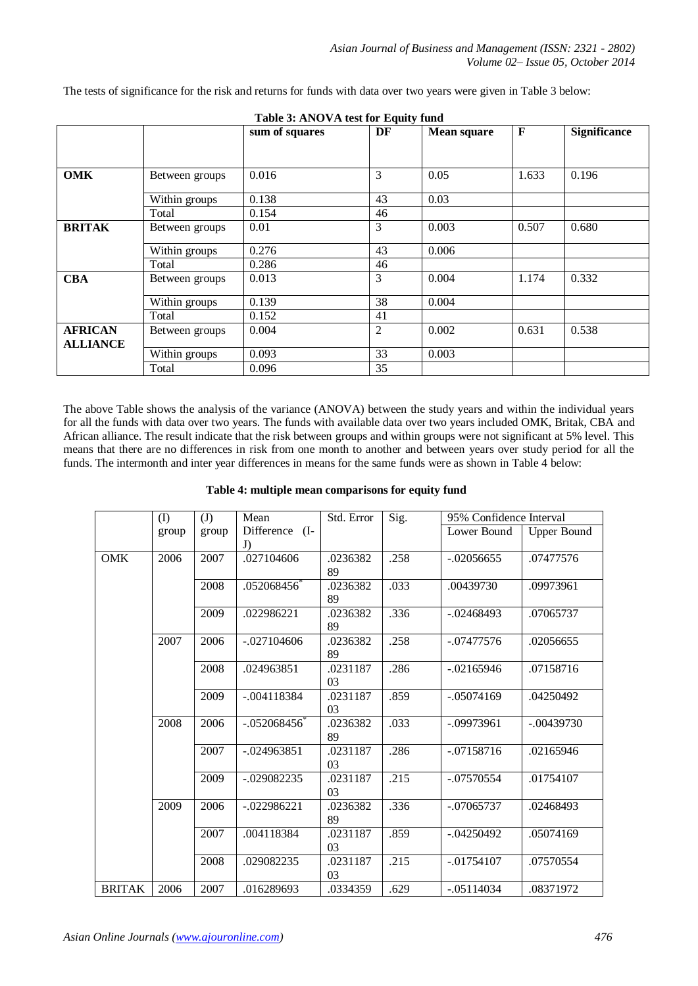|                 | Table 3: ANOVA test for Equity fund |                |    |                    |       |                     |  |  |  |
|-----------------|-------------------------------------|----------------|----|--------------------|-------|---------------------|--|--|--|
|                 |                                     | sum of squares | DF | <b>Mean square</b> | F     | <b>Significance</b> |  |  |  |
|                 |                                     |                |    |                    |       |                     |  |  |  |
|                 |                                     |                |    |                    |       |                     |  |  |  |
| <b>OMK</b>      | Between groups                      | 0.016          | 3  | 0.05               | 1.633 | 0.196               |  |  |  |
|                 | Within groups                       | 0.138          | 43 | 0.03               |       |                     |  |  |  |
|                 | Total                               | 0.154          | 46 |                    |       |                     |  |  |  |
| <b>BRITAK</b>   | Between groups                      | 0.01           | 3  | 0.003              | 0.507 | 0.680               |  |  |  |
|                 | Within groups                       | 0.276          | 43 | 0.006              |       |                     |  |  |  |
|                 | Total                               | 0.286          | 46 |                    |       |                     |  |  |  |
| <b>CBA</b>      | Between groups                      | 0.013          | 3  | 0.004              | 1.174 | 0.332               |  |  |  |
|                 | Within groups                       | 0.139          | 38 | 0.004              |       |                     |  |  |  |
|                 | Total                               | 0.152          | 41 |                    |       |                     |  |  |  |
| <b>AFRICAN</b>  | Between groups                      | 0.004          | 2  | 0.002              | 0.631 | 0.538               |  |  |  |
| <b>ALLIANCE</b> |                                     |                |    |                    |       |                     |  |  |  |
|                 | Within groups                       | 0.093          | 33 | 0.003              |       |                     |  |  |  |
|                 | Total                               | 0.096          | 35 |                    |       |                     |  |  |  |

The tests of significance for the risk and returns for funds with data over two years were given in Table 3 below:

The above Table shows the analysis of the variance (ANOVA) between the study years and within the individual years for all the funds with data over two years. The funds with available data over two years included OMK, Britak, CBA and African alliance. The result indicate that the risk between groups and within groups were not significant at 5% level. This means that there are no differences in risk from one month to another and between years over study period for all the funds. The intermonth and inter year differences in means for the same funds were as shown in Table 4 below:

| Table 4: multiple mean comparisons for equity fund |  |  |
|----------------------------------------------------|--|--|
|----------------------------------------------------|--|--|

|               | (I)   | (J)   | Mean                 | Std. Error                 | Sig. | 95% Confidence Interval |                    |
|---------------|-------|-------|----------------------|----------------------------|------|-------------------------|--------------------|
|               | group | group | Difference (I-<br>J) |                            |      | Lower Bound             | <b>Upper Bound</b> |
| <b>OMK</b>    | 2006  | 2007  | .027104606           | .0236382<br>89             | .258 | $-.02056655$            | .07477576          |
|               |       | 2008  | .052068456*          | .0236382<br>89             | .033 | .00439730               | .09973961          |
|               |       | 2009  | .022986221           | .0236382<br>89             | .336 | $-.02468493$            | .07065737          |
|               | 2007  | 2006  | $-.027104606$        | .0236382<br>89             | .258 | $-.07477576$            | .02056655          |
|               |       | 2008  | .024963851           | .0231187<br>0 <sub>3</sub> | .286 | $-0.02165946$           | .07158716          |
|               |       | 2009  | $-.004118384$        | .0231187<br>03             | .859 | $-.05074169$            | .04250492          |
|               | 2008  | 2006  | $-.052068456$        | .0236382<br>89             | .033 | $-.09973961$            | $-.00439730$       |
|               |       | 2007  | $-0.024963851$       | .0231187<br>03             | .286 | $-.07158716$            | .02165946          |
|               |       | 2009  | $-.029082235$        | .0231187<br>03             | .215 | $-.07570554$            | .01754107          |
|               | 2009  | 2006  | $-022986221$         | .0236382<br>89             | .336 | $-.07065737$            | .02468493          |
|               |       | 2007  | .004118384           | .0231187<br>03             | .859 | $-.04250492$            | .05074169          |
|               |       | 2008  | .029082235           | .0231187<br>03             | .215 | $-.01754107$            | .07570554          |
| <b>BRITAK</b> | 2006  | 2007  | .016289693           | .0334359                   | .629 | $-.05114034$            | .08371972          |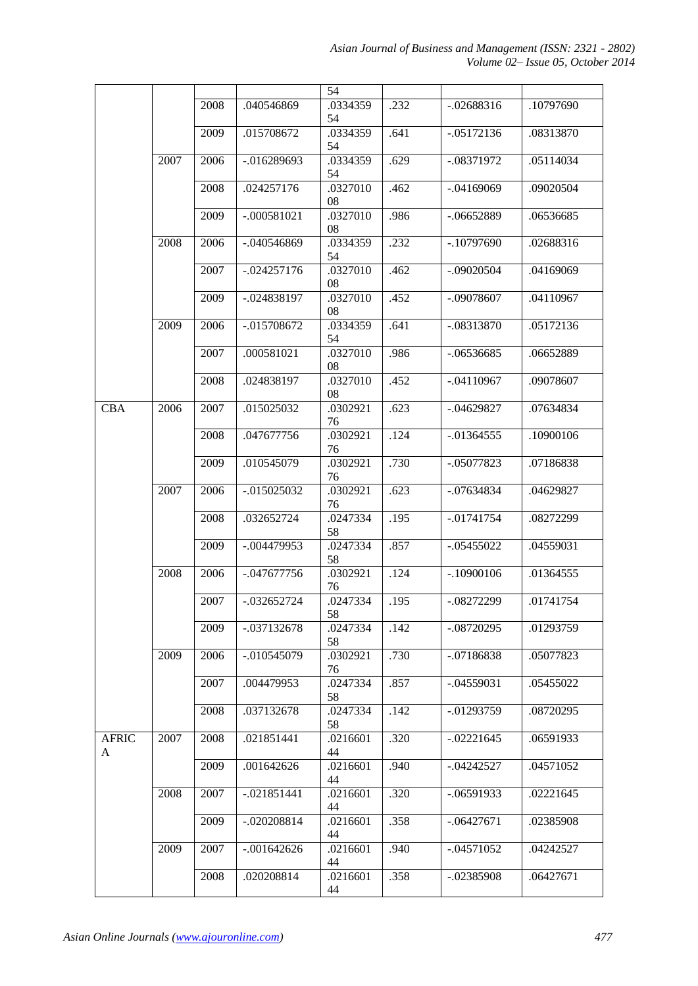|                   |      |      |                | 54             |      |               |           |
|-------------------|------|------|----------------|----------------|------|---------------|-----------|
|                   |      | 2008 | .040546869     | .0334359<br>54 | .232 | $-.02688316$  | .10797690 |
|                   |      | 2009 | .015708672     | .0334359<br>54 | .641 | $-.05172136$  | .08313870 |
|                   | 2007 | 2006 | $-0.016289693$ | .0334359<br>54 | .629 | $-.08371972$  | .05114034 |
|                   |      | 2008 | .024257176     | .0327010<br>08 | .462 | $-.04169069$  | .09020504 |
|                   |      | 2009 | $-.000581021$  | .0327010<br>08 | .986 | $-.06652889$  | .06536685 |
|                   | 2008 | 2006 | $-.040546869$  | .0334359<br>54 | .232 | $-.10797690$  | .02688316 |
|                   |      | 2007 | $-.024257176$  | .0327010<br>08 | .462 | $-.09020504$  | .04169069 |
|                   |      | 2009 | $-.024838197$  | .0327010<br>08 | .452 | $-.09078607$  | .04110967 |
|                   | 2009 | 2006 | $-.015708672$  | .0334359<br>54 | .641 | $-.08313870$  | .05172136 |
|                   |      | 2007 | .000581021     | .0327010<br>08 | .986 | $-.06536685$  | .06652889 |
|                   |      | 2008 | .024838197     | .0327010<br>08 | .452 | $-.04110967$  | .09078607 |
| <b>CBA</b>        | 2006 | 2007 | .015025032     | .0302921<br>76 | .623 | $-.04629827$  | .07634834 |
|                   |      | 2008 | .047677756     | .0302921<br>76 | .124 | $-0.01364555$ | .10900106 |
|                   |      | 2009 | .010545079     | .0302921<br>76 | .730 | $-.05077823$  | .07186838 |
|                   | 2007 | 2006 | $-0.015025032$ | .0302921<br>76 | .623 | $-.07634834$  | .04629827 |
|                   |      | 2008 | .032652724     | .0247334<br>58 | .195 | $-.01741754$  | .08272299 |
|                   |      | 2009 | $-.004479953$  | .0247334<br>58 | .857 | $-.05455022$  | .04559031 |
|                   | 2008 | 2006 | $-.047677756$  | .0302921<br>76 | .124 | $-.10900106$  | .01364555 |
|                   |      | 2007 | $-.032652724$  | .0247334<br>58 | .195 | $-.08272299$  | .01741754 |
|                   |      | 2009 | $-.037132678$  | .0247334<br>58 | .142 | $-.08720295$  | .01293759 |
|                   | 2009 | 2006 | $-.010545079$  | .0302921<br>76 | .730 | $-.07186838$  | .05077823 |
|                   |      | 2007 | .004479953     | .0247334<br>58 | .857 | $-.04559031$  | .05455022 |
|                   |      | 2008 | .037132678     | .0247334<br>58 | .142 | $-.01293759$  | .08720295 |
| <b>AFRIC</b><br>A | 2007 | 2008 | .021851441     | .0216601<br>44 | .320 | $-0.02221645$ | .06591933 |
|                   |      | 2009 | .001642626     | .0216601<br>44 | .940 | $-0.04242527$ | .04571052 |
|                   | 2008 | 2007 | $-.021851441$  | .0216601<br>44 | .320 | $-.06591933$  | .02221645 |
|                   |      | 2009 | $-.020208814$  | .0216601<br>44 | .358 | $-.06427671$  | .02385908 |
|                   | 2009 | 2007 | $-.001642626$  | .0216601<br>44 | .940 | $-.04571052$  | .04242527 |
|                   |      | 2008 | .020208814     | .0216601<br>44 | .358 | $-.02385908$  | .06427671 |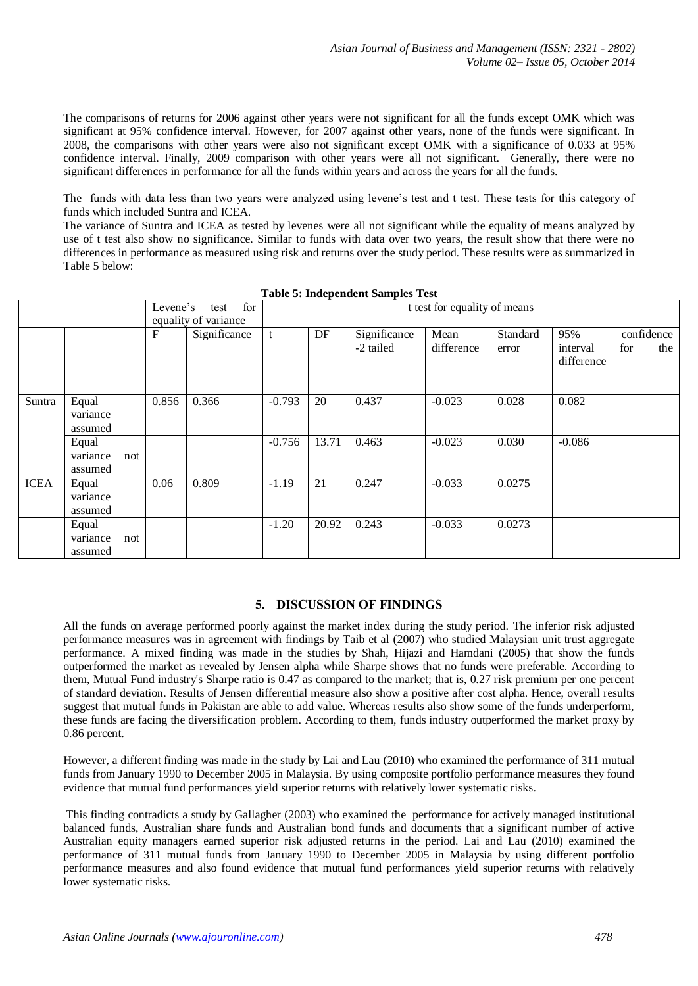The comparisons of returns for 2006 against other years were not significant for all the funds except OMK which was significant at 95% confidence interval. However, for 2007 against other years, none of the funds were significant. In 2008, the comparisons with other years were also not significant except OMK with a significance of 0.033 at 95% confidence interval. Finally, 2009 comparison with other years were all not significant. Generally, there were no significant differences in performance for all the funds within years and across the years for all the funds.

The funds with data less than two years were analyzed using levene's test and t test. These tests for this category of funds which included Suntra and ICEA.

The variance of Suntra and ICEA as tested by levenes were all not significant while the equality of means analyzed by use of t test also show no significance. Similar to funds with data over two years, the result show that there were no differences in performance as measured using risk and returns over the study period. These results were as summarized in Table 5 below:

|             |                              |     | Levene's | for<br>test                          |          |       |              | t test for equality of means |          |                        |            |     |
|-------------|------------------------------|-----|----------|--------------------------------------|----------|-------|--------------|------------------------------|----------|------------------------|------------|-----|
|             |                              |     | F        | equality of variance<br>Significance | t        | DF    | Significance | Mean                         | Standard | 95%                    | confidence |     |
|             |                              |     |          |                                      |          |       | -2 tailed    | difference                   | error    | interval<br>difference | for        | the |
| Suntra      | Equal<br>variance<br>assumed |     | 0.856    | 0.366                                | $-0.793$ | 20    | 0.437        | $-0.023$                     | 0.028    | 0.082                  |            |     |
|             | Equal<br>variance<br>assumed | not |          |                                      | $-0.756$ | 13.71 | 0.463        | $-0.023$                     | 0.030    | $-0.086$               |            |     |
| <b>ICEA</b> | Equal<br>variance<br>assumed |     | 0.06     | 0.809                                | $-1.19$  | 21    | 0.247        | $-0.033$                     | 0.0275   |                        |            |     |
|             | Equal<br>variance<br>assumed | not |          |                                      | $-1.20$  | 20.92 | 0.243        | $-0.033$                     | 0.0273   |                        |            |     |

| <b>Table 5: Independent Samples Test</b> |  |  |  |  |  |  |  |
|------------------------------------------|--|--|--|--|--|--|--|
|------------------------------------------|--|--|--|--|--|--|--|

#### **5. DISCUSSION OF FINDINGS**

All the funds on average performed poorly against the market index during the study period. The inferior risk adjusted performance measures was in agreement with findings by Taib et al (2007) who studied Malaysian unit trust aggregate performance. A mixed finding was made in the studies by Shah, Hijazi and Hamdani (2005) that show the funds outperformed the market as revealed by Jensen alpha while Sharpe shows that no funds were preferable. According to them, Mutual Fund industry's Sharpe ratio is 0.47 as compared to the market; that is, 0.27 risk premium per one percent of standard deviation. Results of Jensen differential measure also show a positive after cost alpha. Hence, overall results suggest that mutual funds in Pakistan are able to add value. Whereas results also show some of the funds underperform, these funds are facing the diversification problem. According to them, funds industry outperformed the market proxy by 0.86 percent.

However, a different finding was made in the study by Lai and Lau (2010) who examined the performance of 311 mutual funds from January 1990 to December 2005 in Malaysia. By using composite portfolio performance measures they found evidence that mutual fund performances yield superior returns with relatively lower systematic risks.

This finding contradicts a study by Gallagher (2003) who examined the performance for actively managed institutional balanced funds, Australian share funds and Australian bond funds and documents that a significant number of active Australian equity managers earned superior risk adjusted returns in the period. Lai and Lau (2010) examined the performance of 311 mutual funds from January 1990 to December 2005 in Malaysia by using different portfolio performance measures and also found evidence that mutual fund performances yield superior returns with relatively lower systematic risks.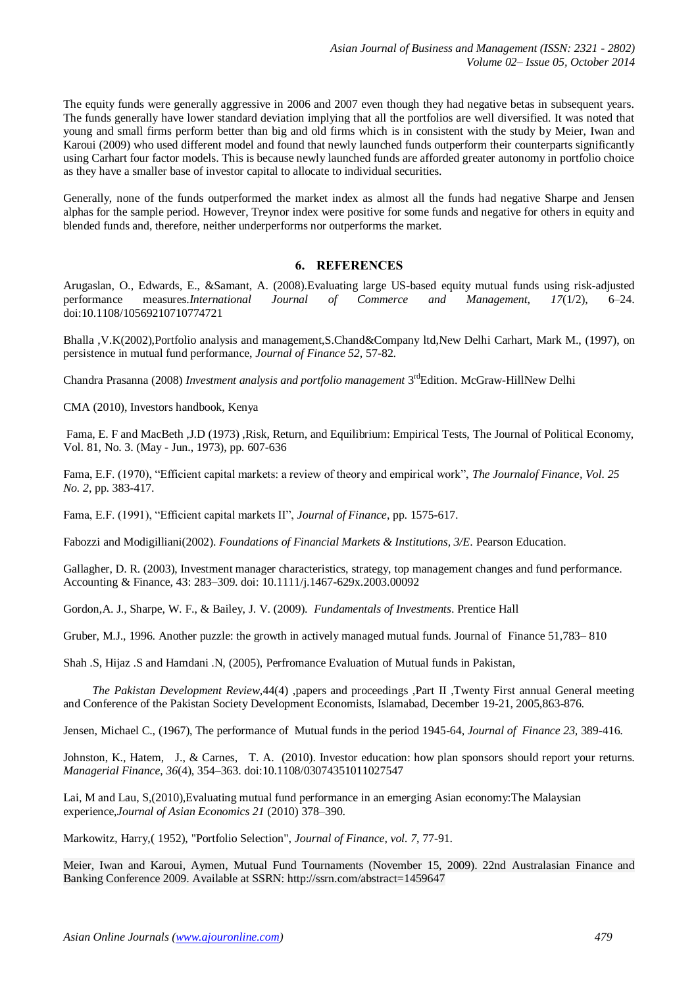The equity funds were generally aggressive in 2006 and 2007 even though they had negative betas in subsequent years. The funds generally have lower standard deviation implying that all the portfolios are well diversified. It was noted that young and small firms perform better than big and old firms which is in consistent with the study by Meier, Iwan and Karoui (2009) who used different model and found that newly launched funds outperform their counterparts significantly using Carhart four factor models. This is because newly launched funds are afforded greater autonomy in portfolio choice as they have a smaller base of investor capital to allocate to individual securities.

Generally, none of the funds outperformed the market index as almost all the funds had negative Sharpe and Jensen alphas for the sample period. However, Treynor index were positive for some funds and negative for others in equity and blended funds and, therefore, neither underperforms nor outperforms the market.

# **6. REFERENCES**

Arugaslan, O., Edwards, E., &Samant, A. (2008).Evaluating large US-based equity mutual funds using risk-adjusted performance measures.*International Journal of Commerce and Management*, *17*(1/2), 6–24. doi:10.1108/10569210710774721

Bhalla ,V.K(2002),Portfolio analysis and management,S.Chand&Company ltd,New Delhi Carhart, Mark M., (1997), on persistence in mutual fund performance, *Journal of Finance 52,* 57-82.

Chandra Prasanna (2008) *Investment analysis and portfolio management* 3<sup>rd</sup>Edition. McGraw-HillNew Delhi

CMA (2010), Investors handbook, Kenya

Fama, E. F and MacBeth ,J.D (1973) ,Risk, Return, and Equilibrium: Empirical Tests, The Journal of Political Economy, Vol. 81, No. 3. (May - Jun., 1973), pp. 607-636

Fama, E.F. (1970), "Efficient capital markets: a review of theory and empirical work", *The Journalof Finance, Vol. 25 No. 2*, pp. 383-417.

Fama, E.F. (1991), "Efficient capital markets II", *Journal of Finance*, pp. 1575-617.

Fabozzi and Modigilliani(2002). *Foundations of Financial Markets & Institutions, 3/E*. Pearson Education.

Gallagher, D. R. (2003), Investment manager characteristics, strategy, top management changes and fund performance. Accounting & Finance, 43: 283–309. doi: 10.1111/j.1467-629x.2003.00092

Gordon,A. J., Sharpe, W. F., & Bailey, J. V. (2009). *Fundamentals of Investments*. Prentice Hall

Gruber, M.J., 1996. Another puzzle: the growth in actively managed mutual funds. Journal of Finance 51,783– 810

Shah .S, Hijaz .S and Hamdani .N, (2005), Perfromance Evaluation of Mutual funds in Pakistan,

 *The Pakistan Development Review*,44(4) ,papers and proceedings ,Part II ,Twenty First annual General meeting and Conference of the Pakistan Society Development Economists, Islamabad, December 19-21, 2005,863-876.

Jensen, Michael C., (1967), The performance of Mutual funds in the period 1945-64, *Journal of Finance 23,* 389-416.

Johnston, K., Hatem, J., & Carnes, T. A. (2010). Investor education: how plan sponsors should report your returns. *Managerial Finance*, *36*(4), 354–363. doi:10.1108/03074351011027547

Lai, M and Lau, S,(2010),Evaluating mutual fund performance in an emerging Asian economy:The Malaysian experience,*Journal of Asian Economics 21* (2010) 378–390.

Markowitz, Harry,( 1952), "Portfolio Selection", *Journal of Finance, vol. 7*, 77-91.

Meier, Iwan and Karoui, Aymen, Mutual Fund Tournaments (November 15, 2009). 22nd Australasian Finance and Banking Conference 2009. Available at SSRN: http://ssrn.com/abstract=1459647